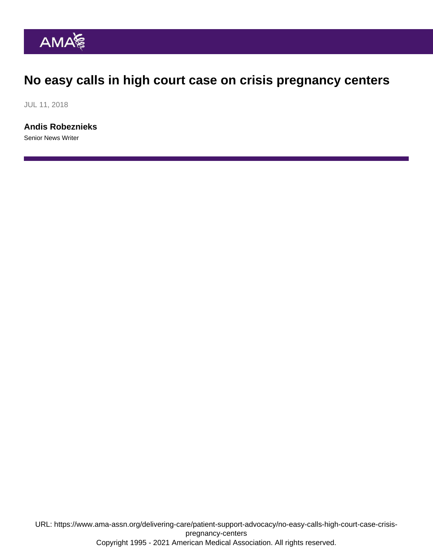## No easy calls in high court case on crisis pregnancy centers

JUL 11, 2018

[Andis Robeznieks](https://www.ama-assn.org/news-leadership-viewpoints/authors-news-leadership-viewpoints/andis-robeznieks) Senior News Writer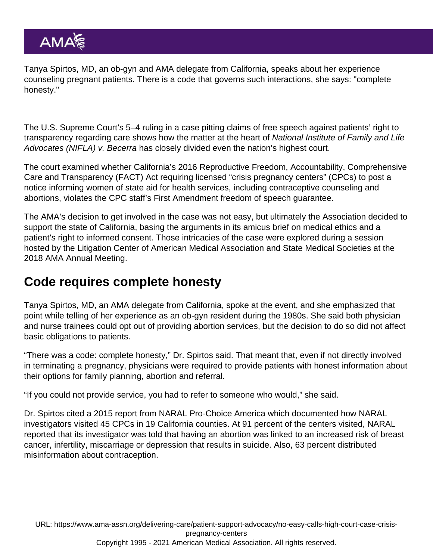Tanya Spirtos, MD, an ob-gyn and AMA delegate from California, speaks about her experience counseling pregnant patients. There is a code that governs such interactions, she says: "complete honesty."

The U.S. Supreme Court's 5–4 ruling in a case pitting claims of free speech against patients' right to transparency regarding care shows how the matter at the heart of National Institute of Family and Life Advocates (NIFLA) v. Becerra has closely divided even the nation's highest court.

The court examined whether California's 2016 Reproductive Freedom, Accountability, Comprehensive Care and Transparency (FACT) Act requiring licensed "crisis pregnancy centers" (CPCs) to post a notice informing women of state aid for health services, including contraceptive counseling and abortions, violates the CPC staff's First Amendment freedom of speech guarantee.

The AMA's decision to get involved in the case was not easy, but ultimately the Association decided to support the state of California, basing the arguments in its amicus brief on medical ethics and a patient's right to informed consent. Those intricacies of the case were explored during a session hosted by the Litigation Center of American Medical Association and State Medical Societies at the 2018 AMA Annual Meeting.

## Code requires complete honesty

Tanya Spirtos, MD, an AMA delegate from California, spoke at the event, and she emphasized that point while telling of her experience as an ob-gyn resident during the 1980s. She said both physician and nurse trainees could opt out of providing abortion services, but the decision to do so did not affect basic obligations to patients.

"There was a code: complete honesty," Dr. Spirtos said. That meant that, even if not directly involved in terminating a pregnancy, physicians were required to provide patients with honest information about their options for family planning, abortion and referral.

"If you could not provide service, you had to refer to someone who would," she said.

Dr. Spirtos cited a 2015 report from NARAL Pro-Choice America which documented how NARAL investigators visited 45 CPCs in 19 California counties. At 91 percent of the centers visited, NARAL reported that its investigator was told that having an abortion was linked to an increased risk of breast cancer, infertility, miscarriage or depression that results in suicide. Also, 63 percent distributed misinformation about contraception.